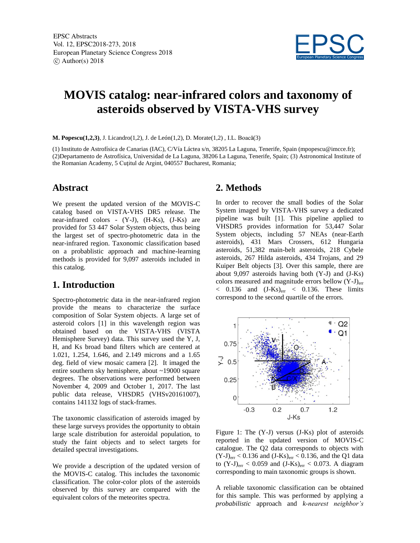

# **MOVIS catalog: near-infrared colors and taxonomy of asteroids observed by VISTA-VHS survey**

**M. Popescu(1,2,3)**, J. Licandro(1,2), J. de León(1,2), D. Morate(1,2) , I.L. Boacă(3)

(1) Instituto de Astrofísica de Canarias (IAC), C/Vía Láctea s/n, 38205 La Laguna, Tenerife, Spain (mpopescu@imcce.fr); (2)Departamento de Astrofísica, Universidad de La Laguna, 38206 La Laguna, Tenerife, Spain; (3) Astronomical Institute of the Romanian Academy, 5 Cuţitul de Argint, 040557 Bucharest, Romania;

#### **Abstract**

We present the updated version of the MOVIS-C catalog based on VISTA-VHS DR5 release. The near-infrared colors - (Y-J), (H-Ks), (J-Ks) are provided for 53 447 Solar System objects, thus being the largest set of spectro-photometric data in the near-infrared region. Taxonomic classification based on a probablistic approach and machine-learning methods is provided for 9,097 asteroids included in this catalog.

### **1. Introduction**

Spectro-photometric data in the near-infrared region provide the means to characterize the surface composition of Solar System objects. A large set of asteroid colors [1] in this wavelength region was obtained based on the VISTA-VHS (VISTA Hemisphere Survey) data. This survey used the Y, J, H, and Ks broad band filters which are centered at 1.021, 1.254, 1.646, and 2.149 microns and a 1.65 deg. field of view mosaic camera [2]. It imaged the entire southern sky hemisphere, about ~19000 square degrees. The observations were performed between November 4, 2009 and October 1, 2017. The last public data release, VHSDR5 (VHSv20161007), contains 141132 logs of stack-frames.

The taxonomic classification of asteroids imaged by these large surveys provides the opportunity to obtain large scale distribution for asteroidal population, to study the faint objects and to select targets for detailed spectral investigations.

We provide a description of the updated version of the MOVIS-C catalog. This includes the taxonomic classification. The color-color plots of the asteroids observed by this survey are compared with the equivalent colors of the meteorites spectra.

#### **2. Methods**

In order to recover the small bodies of the Solar System imaged by VISTA-VHS survey a dedicated pipeline was built [1]. This pipeline applied to VHSDR5 provides information for 53,447 Solar System objects, including 57 NEAs (near-Earth asteroids), 431 Mars Crossers, 612 Hungaria asteroids, 51,382 main-belt asteroids, 218 Cybele asteroids, 267 Hilda asteroids, 434 Trojans, and 29 Kuiper Belt objects [3]. Over this sample, there are about 9,097 asteroids having both (Y-J) and (J-Ks) colors measured and magnitude errors bellow  $(Y-J)_{err}$  $<$  0.136 and  $(J-Ks)_{err} <$  0.136. These limits correspond to the second quartile of the errors.



Figure 1: The (Y-J) versus (J-Ks) plot of asteroids reported in the updated version of MOVIS-C catalogue. The Q2 data corresponds to objects with  $(Y-J)_{err} < 0.136$  and  $(J-Ks)_{err} < 0.136$ , and the Q1 data to  $(Y-J)_{err} < 0.059$  and  $(J-Ks)_{err} < 0.073$ . A diagram corresponding to main taxonomic groups is shown.

A reliable taxonomic classification can be obtained for this sample. This was performed by applying a *probabilistic* approach and *k-nearest neighbor's*